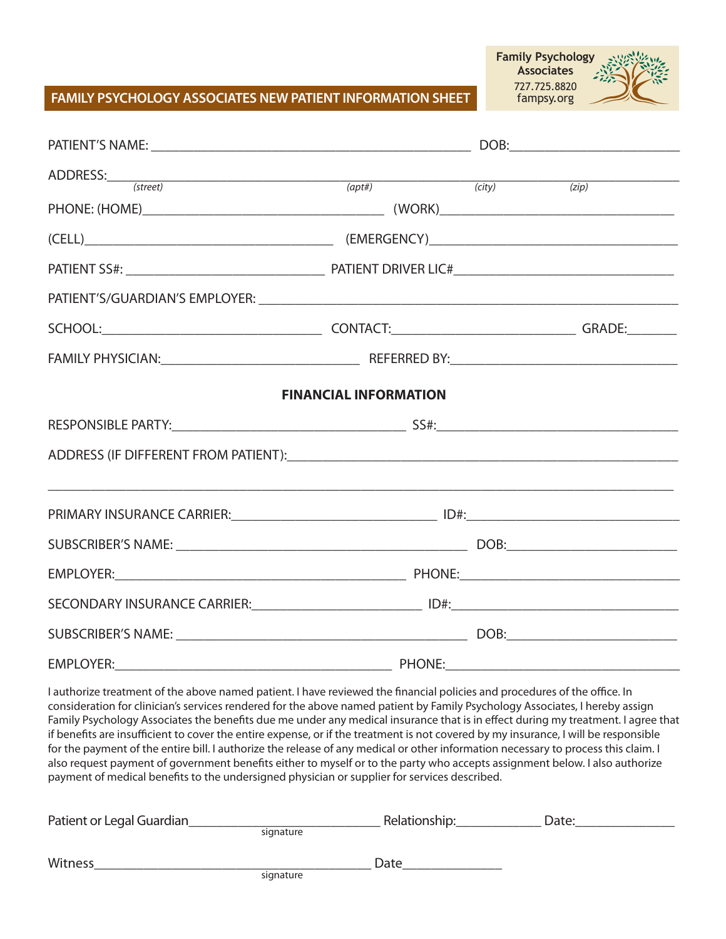#### **FAMILY PSYCHOLOGY ASSOCIATES NEW PATIENT INFORMATION SHEET**

| <b>Family Psychology</b> |  |
|--------------------------|--|
| <b>Associates</b>        |  |
| 727.725.8820             |  |
| fampsy.org               |  |

| $\text{ADDRESS:}\begin{array}{c}{\text{\hspace{-2cm}}}\text{\hspace{2cm}}(\text{street})\end{array}\qquad \qquad \text{\hspace{2cm}}(\text{opt#})\qquad \qquad \text{\hspace{2cm}}(\text{city})$ |                              |  | (zip) |
|--------------------------------------------------------------------------------------------------------------------------------------------------------------------------------------------------|------------------------------|--|-------|
|                                                                                                                                                                                                  |                              |  |       |
| $\qquad \qquad \text{(EMERGENCY)} \qquad \qquad \text{(EMERGENCY)} \qquad \qquad \text{[LHCT]}$                                                                                                  |                              |  |       |
|                                                                                                                                                                                                  |                              |  |       |
|                                                                                                                                                                                                  |                              |  |       |
|                                                                                                                                                                                                  |                              |  |       |
|                                                                                                                                                                                                  |                              |  |       |
|                                                                                                                                                                                                  | <b>FINANCIAL INFORMATION</b> |  |       |
|                                                                                                                                                                                                  |                              |  |       |
|                                                                                                                                                                                                  |                              |  |       |
|                                                                                                                                                                                                  |                              |  |       |
|                                                                                                                                                                                                  |                              |  |       |
|                                                                                                                                                                                                  |                              |  |       |
|                                                                                                                                                                                                  |                              |  |       |
| SECONDARY INSURANCE CARRIER: IN THE RESERVE TO THE RESERVE TO A RESERVE THE RESERVE TO A RESERVE THE RESERVE TO                                                                                  |                              |  |       |
|                                                                                                                                                                                                  |                              |  |       |
|                                                                                                                                                                                                  |                              |  |       |

I authorize treatment of the above named patient. I have reviewed the financial policies and procedures of the office. In consideration for clinician's services rendered for the above named patient by Family Psychology Associates, I hereby assign Family Psychology Associates the benefits due me under any medical insurance that is in effect during my treatment. I agree that if benefits are insufficient to cover the entire expense, or if the treatment is not covered by my insurance, I will be responsible for the payment of the entire bill. I authorize the release of any medical or other information necessary to process this claim. I also request payment of government benefits either to myself or to the party who accepts assignment below. I also authorize payment of medical benefits to the undersigned physician or supplier for services described.

| Patient or Legal Guardian |           | Relationship: | Date: |  |
|---------------------------|-----------|---------------|-------|--|
|                           | signature |               |       |  |
| <b>Witness</b>            |           | Date          |       |  |
|                           | signature |               |       |  |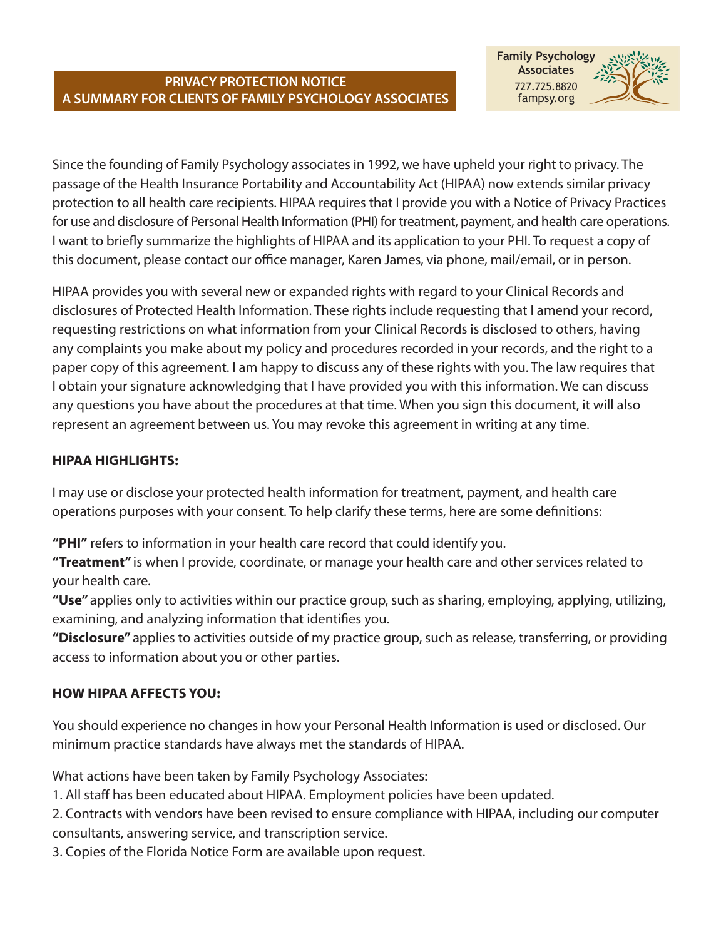### **PRIVACY PROTECTION NOTICE A SUMMARY FOR CLIENTS OF FAMILY PSYCHOLOGY ASSOCIATES**



Since the founding of Family Psychology associates in 1992, we have upheld your right to privacy. The passage of the Health Insurance Portability and Accountability Act (HIPAA) now extends similar privacy protection to all health care recipients. HIPAA requires that I provide you with a Notice of Privacy Practices for use and disclosure of Personal Health Information (PHI) for treatment, payment, and health care operations. I want to briefly summarize the highlights of HIPAA and its application to your PHI. To request a copy of this document, please contact our office manager, Karen James, via phone, mail/email, or in person.

HIPAA provides you with several new or expanded rights with regard to your Clinical Records and disclosures of Protected Health Information. These rights include requesting that I amend your record, requesting restrictions on what information from your Clinical Records is disclosed to others, having any complaints you make about my policy and procedures recorded in your records, and the right to a paper copy of this agreement. I am happy to discuss any of these rights with you. The law requires that I obtain your signature acknowledging that I have provided you with this information. We can discuss any questions you have about the procedures at that time. When you sign this document, it will also represent an agreement between us. You may revoke this agreement in writing at any time.

# **HIPAA HIGHLIGHTS:**

I may use or disclose your protected health information for treatment, payment, and health care operations purposes with your consent. To help clarify these terms, here are some definitions:

**"PHI"** refers to information in your health care record that could identify you.

**"Treatment"** is when I provide, coordinate, or manage your health care and other services related to your health care.

**"Use"** applies only to activities within our practice group, such as sharing, employing, applying, utilizing, examining, and analyzing information that identifies you.

**"Disclosure"** applies to activities outside of my practice group, such as release, transferring, or providing access to information about you or other parties.

## **HOW HIPAA AFFECTS YOU:**

You should experience no changes in how your Personal Health Information is used or disclosed. Our minimum practice standards have always met the standards of HIPAA.

What actions have been taken by Family Psychology Associates:

1. All staff has been educated about HIPAA. Employment policies have been updated.

2. Contracts with vendors have been revised to ensure compliance with HIPAA, including our computer consultants, answering service, and transcription service.

3. Copies of the Florida Notice Form are available upon request.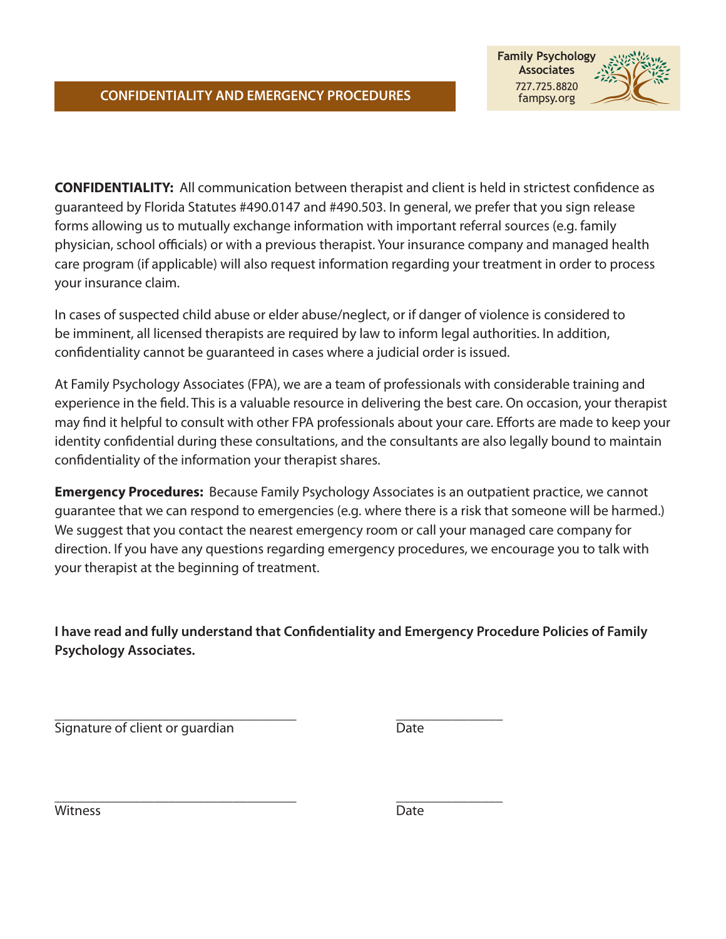

**CONFIDENTIALITY:** All communication between therapist and client is held in strictest confidence as guaranteed by Florida Statutes #490.0147 and #490.503. In general, we prefer that you sign release forms allowing us to mutually exchange information with important referral sources (e.g. family physician, school officials) or with a previous therapist. Your insurance company and managed health care program (if applicable) will also request information regarding your treatment in order to process your insurance claim.

In cases of suspected child abuse or elder abuse/neglect, or if danger of violence is considered to be imminent, all licensed therapists are required by law to inform legal authorities. In addition, confidentiality cannot be guaranteed in cases where a judicial order is issued.

At Family Psychology Associates (FPA), we are a team of professionals with considerable training and experience in the field. This is a valuable resource in delivering the best care. On occasion, your therapist may find it helpful to consult with other FPA professionals about your care. Efforts are made to keep your identity confidential during these consultations, and the consultants are also legally bound to maintain confidentiality of the information your therapist shares.

**Emergency Procedures:** Because Family Psychology Associates is an outpatient practice, we cannot guarantee that we can respond to emergencies (e.g. where there is a risk that someone will be harmed.) We suggest that you contact the nearest emergency room or call your managed care company for direction. If you have any questions regarding emergency procedures, we encourage you to talk with your therapist at the beginning of treatment.

**I have read and fully understand that Confidentiality and Emergency Procedure Policies of Family Psychology Associates.**

\_\_\_\_\_\_\_\_\_\_\_\_\_\_\_\_\_\_\_\_\_\_\_\_\_\_\_\_\_\_\_\_\_\_ \_\_\_\_\_\_\_\_\_\_\_\_\_\_\_ Signature of client or guardian Date

\_\_\_\_\_\_\_\_\_\_\_\_\_\_\_\_\_\_\_\_\_\_\_\_\_\_\_\_\_\_\_\_\_\_ \_\_\_\_\_\_\_\_\_\_\_\_\_\_\_ Witness Date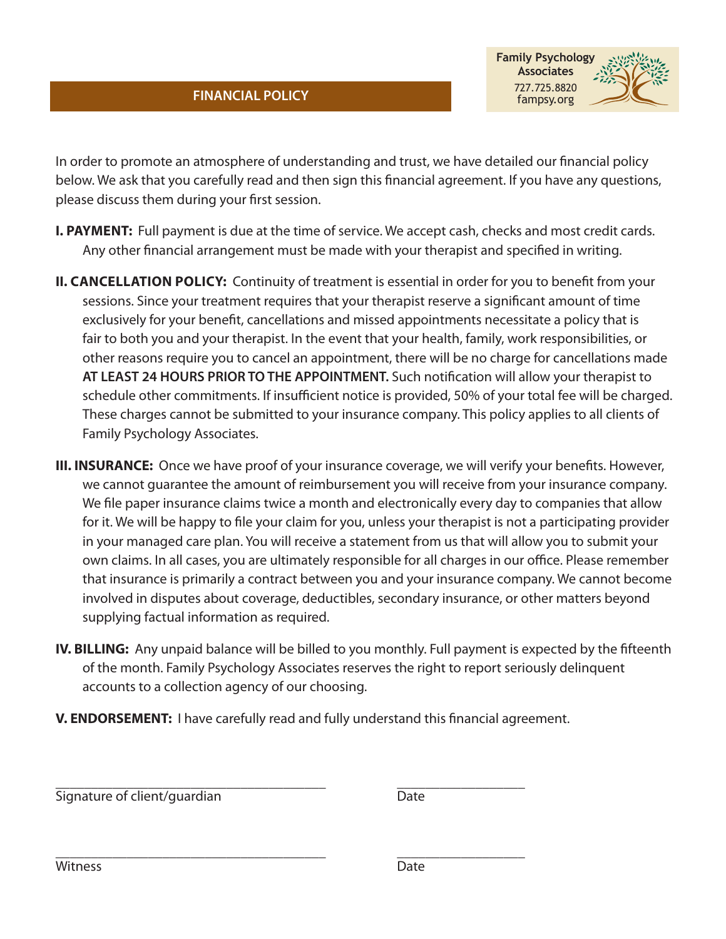



In order to promote an atmosphere of understanding and trust, we have detailed our financial policy below. We ask that you carefully read and then sign this financial agreement. If you have any questions, please discuss them during your first session.

- **I. PAYMENT:** Full payment is due at the time of service. We accept cash, checks and most credit cards. Any other financial arrangement must be made with your therapist and specified in writing.
- **II. CANCELLATION POLICY:** Continuity of treatment is essential in order for you to benefit from your sessions. Since your treatment requires that your therapist reserve a significant amount of time exclusively for your benefit, cancellations and missed appointments necessitate a policy that is fair to both you and your therapist. In the event that your health, family, work responsibilities, or other reasons require you to cancel an appointment, there will be no charge for cancellations made **AT LEAST 24 HOURS PRIOR TO THE APPOINTMENT.** Such notification will allow your therapist to schedule other commitments. If insufficient notice is provided, 50% of your total fee will be charged. These charges cannot be submitted to your insurance company. This policy applies to all clients of Family Psychology Associates.
- **III. INSURANCE:** Once we have proof of your insurance coverage, we will verify your benefits. However, we cannot guarantee the amount of reimbursement you will receive from your insurance company. We file paper insurance claims twice a month and electronically every day to companies that allow for it. We will be happy to file your claim for you, unless your therapist is not a participating provider in your managed care plan. You will receive a statement from us that will allow you to submit your own claims. In all cases, you are ultimately responsible for all charges in our office. Please remember that insurance is primarily a contract between you and your insurance company. We cannot become involved in disputes about coverage, deductibles, secondary insurance, or other matters beyond supplying factual information as required.
- **IV. BILLING:** Any unpaid balance will be billed to you monthly. Full payment is expected by the fifteenth of the month. Family Psychology Associates reserves the right to report seriously delinquent accounts to a collection agency of our choosing.
- **V. ENDORSEMENT:** I have carefully read and fully understand this financial agreement.

Signature of client/guardian and the state of client of the state of the Date of the Date

\_\_\_\_\_\_\_\_\_\_\_\_\_\_\_\_\_\_\_\_\_\_\_\_\_\_\_\_\_\_\_\_\_\_\_\_\_\_ \_\_\_\_\_\_\_\_\_\_\_\_\_\_\_\_\_\_ Witness Date